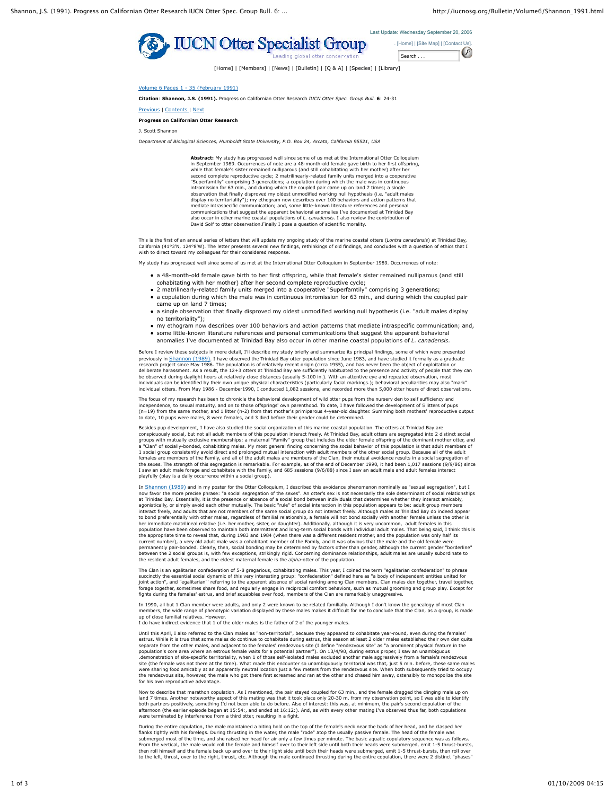



[Home] | [Members] | [News] | [Bulletin] | [Q & A] | [Species] | [Library]

Volume 6 Pages 1 - 35 (February 1991)

**Citation**: **Shannon, J.S. (1991).** Progress on Californian Otter Research *IUCN Otter Spec. Group Bull.* **6**: 24-31

Previous | Contents | Next

## **Progress on Californian Otter Research**

J. Scott Shannon

*Department of Biological Sciences, Humboldt State University, P.O. Box 24, Arcata, California 95521, USA*

**Abstract:** My study has progressed well since some of us met at the International Otter Colloquium in September 1989. Occurrences of note are a 48-month-old female gave birth to her first offspring, while that female's sister remained nulliparous (and still cohabitating with her mother) after her second complete reproductive cycle; 2 matrilinearly-related family units merged into a cooperative "Superfamtily" comprising 3 generations; a copulation during which the male was in continuous<br>intromission for 63 min., and during which the coupled pair came up on land 7 times; a single<br>observation that finally disproved display no territoriality"); my ethogram now describes over 100 behaviors and action patterns that mediate intraspecific communication; and, some little-known literature references and personal<br>communications that suggest the apparent behavioral anomalies I've documented at Trinidad Bay<br>also occur in other marine coasta David Solf to otter observation.Finally I pose a question of scientific morality.

This is the first of an annual series of letters that will update my ongoing study of the marine coastal otters (*Lontra canadensis*) at Trinidad Bay,<br>California (41°3"N, 124°8'W). The letter presents several new findings,

My study has progressed well since some of us met at the International Otter Colloquium in September 1989. Occurrences of note:

- a 48-month-old female gave birth to her first offspring, while that female's sister remained nulliparous (and still
- cohabitating with her mother) after her second complete reproductive cycle; 2 matrilinearly-related family units merged into a cooperative "Superfamtily" comprising 3 generations;
- a copulation during which the male was in continuous intromission for 63 min., and during which the coupled pair came up on land 7 times;
- a single observation that finally disproved my oldest unmodified working null hypothesis (i.e. "adult males display no territoriality");
- my ethogram now describes over 100 behaviors and action patterns that mediate intraspecific communication; and, some little-known literature references and personal communications that suggest the apparent behavioral anomalies I've documented at Trinidad Bay also occur in other marine coastal populations of *L. canadensis.*

Before I review these subjects in more detail, I'll describe my study briefly and summarize its principal findings, some of which were presented previously in Shannon (1989). I have observed the Trinidad Bay otter population since June 1983, and have studied it formally as a graduate research project since May 1986. The population is of relatively recent origin (circa 1955), and has never been the object of exploitation or<br>deliberate harassment. As a result, the 12+3 otters at Trinidad Bay are sufficie individuals can be identified by their own unique physical characteristics (particularly facial markings.); behavioral peculiarities may also "mark" individual otters. From May 1986 - December1990, I conducted 1,082 sessions, and recorded more than 5,000 otter hours of direct observations.

The focus of my research has been to chronicle the behavioral development of wild otter pups from the nursery den to self sufficiency and<br>independence, to sexual maturity, and on to those offsprings' own parenthood. To dat to date, 10 pups were males, 8 were females, and 3 died before their gender could be determined.

Besides pup development, I have also studied the social organization of this marine coastal population. The otters at Trinidad Bay are conspicuously social, but not all adult members of this population interact freely. At Trinidad Bay, adult otters are segregated into 2 distinct social<br>groups with mutually exclusive memberships: a maternal "Family" group 1 social group consistently avoid direct and prolonged mutual interaction with adult members of the other social group. Because all of the adult<br>females are members of the Family, and all of the adult males are members of I saw an adult male forage and cohabitate with the Family, and 685 sessions (9/6/88) since I saw an adult male and adult females interact playfully (play is a daily occurrence within a social group).

In Shannon (1989) and in my poster for the Otter Colloquium, I described this avoidance phenomenon nominally as "sexual segregation", but I now favor the more precise phrase: "a social segregation of the sexes". An otter's sex is not necessarily the sole determinant of social relationships at Trinidad Bay. Essentially, it is the presence or absence of a social bond between individuals that determines whether they interact amicably, agonistically, or simply avoid each other mutually. The basic "rule" of social interaction in this population appears to be: adult group members<br>interact freely, and adults that are not members of the same social group do to bond preferentially with other males, regardless of familial relationship, a female will not bond socially with another female unless the other is her immediate matrilineal relative (i.e. her mother, sister, or daughter). Additionally, although it is very uncommon, adult females in this<br>population have been observed to maintain both intermittent and long-term social current number), a very old adult male was a cohabitant member of the Family, and it was obvious that the male and the old female were permanently pair-bonded. Clearly, then, social bonding may be determined by factors other than gender, although the current gender "borderline"<br>between the 2 social groups is, with few exceptions, strikingly rigid. Concern

The Clan is an egalitarian confederation of 5-8 gregarious, cohabitating males. This year, I coined the term "egalitarian confederation" to phrase succinctly the essential social dynamic of this very interesting group: "confederation" defined here as "a body of independent entities united for<br>joint action", and "egalitarian" referring to the apparent absence of socia

In 1990, all but 1 Clan member were adults, and only 2 were known to be related familially. Although I don't know the genealogy of most Clan members, the wide range of phenotypic variation displayed by these males makes it difficult for me to conclude that the Clan, as a group, is made<br>up of close familial relatives. However.<br>I do have indirect evidence that 1

Until this April, I also referred to the Clan males as "non-territorial", because they appeared to cohabitate year-round, even during the females' estrus. While it is true that some males do continue to cohabitate during estrus, this season at least 2 older males established their own den quite separate from the other males, and adjacent to the females' rendezvous site (I define "rendezvous site" as "a prominent physical feature in the<br>population's core area where an estrous female waits for a potential partner") site (the female was not there at the time). What made this encounter so unambiguously territorial was that, just 5 min. before, these same males were sharing food amicably at an apparently neutral location just a few meters from the rendezvous site. When both subsequently tried to occupy<br>the rendezvous site, however, the male who got there first screamed and ran at for his own reproductive advantage.

Now to describe that marathon copulation. As I mentioned, the pair stayed coupled for 63 min., and the female dragged the clinging male up on land 7 times. Another noteworthy aspect of this mating was that it took place only 20-30 m. from my observation point, so I was able to identify<br>both partners positively, something I'd not been able to do before. Also of i were terminated by interference from a third otter, resulting in a fight.

During the entire copulation, the male maintained a biting hold on the top of the female's neck near the back of her head, and he clasped her flanks tightly with his forelegs. During thrusting in the water, the male "rode" atop the usually passive female. The head of the female was<br>submerged most of the time, and she raised her head for air only a few times per then roll himself and the female back up and over to their light side until both their heads were submerged, emit 1-5 thrust-bursts, then roll over to the left, thrust, over to the right, thrust, etc. Although the male continued thrusting during the entire copulation, there were 2 distinct "phases"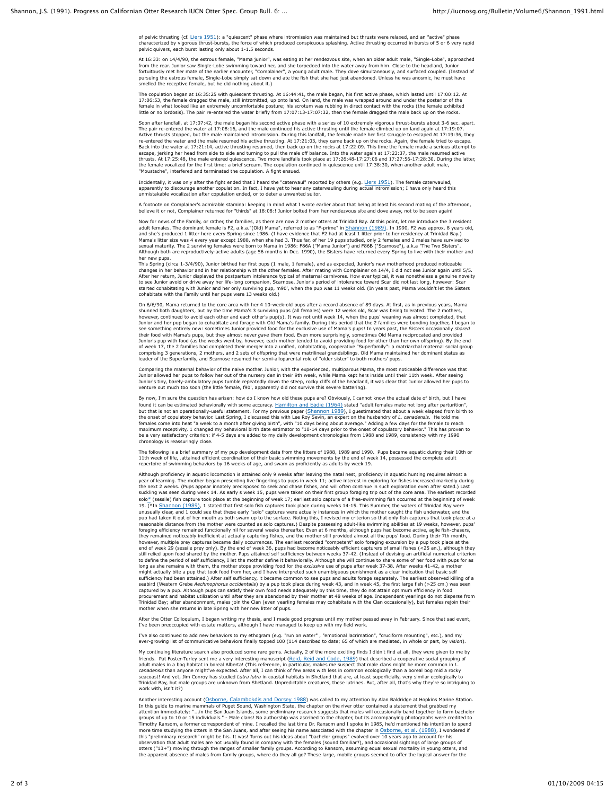of pelvic thrusting (cf. Liers 1951): a "quiescent" phase where intromission was maintained but thrusts were relaxed, and an "active" phase characterized by vigorous thrust-bursts, the force of which produced conspicuous splashing. Active thrusting occurred in bursts of 5 or 6 very rapid pelvic quivers, each burst lasting only about 1-1.5 seconds.

At 16:33: on 14/4/90, the estrous female, "Mama junior", was eating at her rendezvous site, when an older adult male, "Single-Lobe", approached<br>from the rear. Junior saw Single-Lobe swimming toward her, and she torpedoed i pursuing the estrous female, Single-Lobe simply sat down and ate the fish that she had just abandoned. Unless he was anosmic, he must have melled the receptive female, but he did nothing about it.)

The copulation began at 16:35:25 with quiescent thrusting. At 16:44:41, the male began, his first active phase, which lasted until 17:00:12. At<br>17:06:53, the female dragged the male, still intromitted, up onto land. the ma little or no lordosis). The pair re-entered the water briefly from 17:07:13-17:07:32, then the female dragged the male back up on the rocks.

Soon after landfall, at 17:07:42, the male began his second active phase with a series of 10 extremely vigorous thrust-bursts about 3-6 sec. apart. The pair re-entered the water at 17:08:16, and the male continued bis active thrusting until the female climbed up on land again at 17:19:07.<br>Active thrusts stopped, but the male maintained intromission. During this landfa "Moustache", interfered and terminated the copulation. A fight ensued.

Incidentally, it was only after the fight ended that I heard the "caterwaul" reported by others (e.g. <u>Liers 1951</u>). The female caterwauled,<br>apparently to discourage another copulation. In fact, I have yet to hear any cate

A footnote on Complainer's admirable stamina: keeping in mind what I wrote earlier about that being at least his second mating of the afternoon,<br>believe it or not, Complainer returned for "thirds" at 18:08:! Junior bolted

Now for news of the Family, or rather, the families, as there are now 2 mother otters at Trinidad Bay. At this point, let me introduce the 3 resident adult females. The dominant female is F2, a.k.a."(Old) Mama", referred to as "F-prime" in <u>Shannon (1989)</u>. In 1990, F2 was approx. 8 years old,<br>and she's produced 1 litter here every Spring since 1986. (I have evidence th Mama's litter size was 4 every year except 1988, when she had 3. Thus far, of her 19 pups studied, only 2 females and 2 males have survived to<br>sexual maturity. The 2 surviving females were born to Mama in 1986: F86A ("Mama her new pups.

This Spring (circa 1-3/4/90), Junior birthed her first pups (1 male, 1 female), and as expected, Junior's new motherhood produced noticeable<br>changes in her behavior and in her relationship with the other females. After mat to see Junior avoid or drive away her life-long companion, Scarnose. Junior's period of intolerance toward Scar did not last long, however: Scar started cohabitating with Junior and her only surviving pup, m90', when the pup was 11 weeks old. (In years past, Mama wouldn't let the Sisters<br>cohabitate with the Family until her pups were 13 weeks old.)

On 6/6/90, Mama returned to the core area with her 4 10-week-old pups after a record absence of 89 days. At first, as in previous years, Mama shunned both daughters, but by the time Mama's 3 surviving pups (all females) were 12 weeks old, Scar was being tolerated. The 2 mothers, however, continued to avoid each other and each other's pup(s). It was not until week 14, when the pups' weaning was almost completed, that<br>Junior and her pup began to cohabitate and forage with Old Mama's family. During t their food with Mama's pups, but they almost never *gave* them food. Even more surprisingly, sometimes Old Mama reciprocated and provided Junior's pup with food (as the weeks went by, however, each mother tended to avoid providing food for other than her own offspring). By the end<br>of week 17, the 2 families had completed their merger into a unified, cohabita leader of the Superfamily, and Scarnose resumed her semi-alloparental role of "older sister" to both mothers' pups.

Comparing the maternal behavior of the naive mother. Junior, with the experienced, multiparous Mama, the most noticeable difference was that Junior allowed her pups to follow her out of the nursery den in their 9th week, while Mama kept hers inside until their 11th week. After seeing<br>Junior's tiny, barely-ambulatory pups tumble repeatedly down the steep, rocky

By now, I'm sure the question has arisen: how do I know how old these pups are? Obviously, I cannot know the actual date of birth, but I have found it can be estimated behaviorally with some accuracy. Hamilton and Eadie (1964) stated "adult females mate not long after parturition" but that is not an operationally-useful statement. For my previous paper (Shannon 1989), I guestimated that about a week elapsed from birth to the onset of copulatory behavior. Last Spring, I discussed this with Lee Roy Sevin, an expert on the husbandry of *L. canadensis.* He told me<br>females come into heat "a week to a month after giving birth", with "10 days bei be a very satisfactory criterion: if 4-5 days are added to my daily development chronologies from 1988 and 1989, consistency with my 1990 chronology is reassuringly close.

The following is a brief summary of my pup development data from the litters of 1988, 1989 and 1990. Pups became aquatic during their 10th or<br>11th week of life, .attained efficient coordination of their basic swimming move

Although proficiency in aquatic locomotion is attained only 9 weeks after leaving the natal nest, proficiency in aquatic hunting requires almost a year of learning. The mother began presenting live fingerlings to pups in week 11; active interest in exploring for fishes increased markedly during<br>the next 2 weeks. (Pups appear innately predisposed to seek and chase fis solo\* (sessile) fish capture took place at the beginning of week 17; earliest solo capture of a free-swimming fish occurred at the beginning of week 19. (\*In <u>Shannon (1989)</u>, 1 stated that first solo fish captures took place during weeks 14-15. This Summer, the waters of Trinidad Bay were<br>unusually clear, and 1 could see that these early "solo" captures were actually pup had taken it out of her mouth as both swam up to the surface. Noting this, I revised my criterion so that only fish captures that took place at a reasonable distance from the mother were counted as solo captures.) Despite possessing adult-like swimming abilities at 19 weeks, however, pups<br>foraging efficiency remained functionally nil for several weeks thereadter. Ev however, multiple prey captures became daily occurrences. The earliest recorded "competent" solo foraging excursion by a pup took place at the end of week 29 (sessile prey only). By the end of week 36, pups had become noticeably efficient capturers of small fishes (<25 an.), although they<br>still relied upon food shared by the mother. Pups attained self sufficiency long as she remains with them, the mother stops providing food for the *exclusive* use of pups after week 37-38. After weeks 41-42, a mother<br>might actually bite a pup that took food from her, and I have interpreted such un seabird (Western Grebe *Aechmophorus occidentalis*) by a pup took place during week 43, and in week 45, the first large fish (>25 cm.) was seen captured by a pup. Although pups can satisfy their own food needs adequately by this time, they do not attain optimum efficiency in food<br>procurement and habitat utilization until after they are abandoned by their mother at mother when she returns in late Spring with her new litter of pups.

After the Otter Colloquium, I began writing my thesis, and I made good progress until my mother passed away in February. Since that sad event, I've been preoccupied with estate matters, although I have managed to keep up with my field work.

I've also continued to add new behaviors to my ethogram (e.g. "run on water" , "emotional lacrimation", "cruciform mounting", etc.), and my ever-growing list of communicative behaviors finally topped 100 (114 described to date; 65 of which are mediated, in whole or part, by *vision*).

My continuing literature search also produced some rare gems. Actually, 2 of the more exciting finds I didn't find at all, they were given to me by friends. Pat Foster-Turley sent me a very interesting manuscript (<u>Reid, Reid and Code, 1989)</u> that described a cooperative social grouping of<br>cander males in a bog habitat in boreal Alberta! (This reference, in particular Trinidad Bay, but male groups are unknown from Shetland. Unpredictable creatures, these lutrines. But, after all, that's why they're so intriguing to work with, isn't it?)

Another interesting account (<u>Osborne, Calambokdis and Dorsey 1988</u>) was called to my attention by Alan Baldridge at Hopkins Marine Station.<br>In this guide to marine mammals of Puget Sound, Washington State, the chapter on attention immediately: "…in the San Juan Islands, some preliminary research suggests that males will occasionally band together to form bachelor<br>groups of up to 10 or 15 individuals." - Male clans! No authorship was ascrib more time studying the otters in the San Juans, and after seeing his name associated with the chapter in <u>Osborne, et al. (1988)</u>, I wondered if<br>this "preliminary research" might be his. It was! Turns out his ideas about " otters ("13+") moving through the ranges of smaller family groups. According to Ransom, assuming equal sexual mortality in young otters, and<br>the apparent absence of males from family groups, where do they all go? These lar